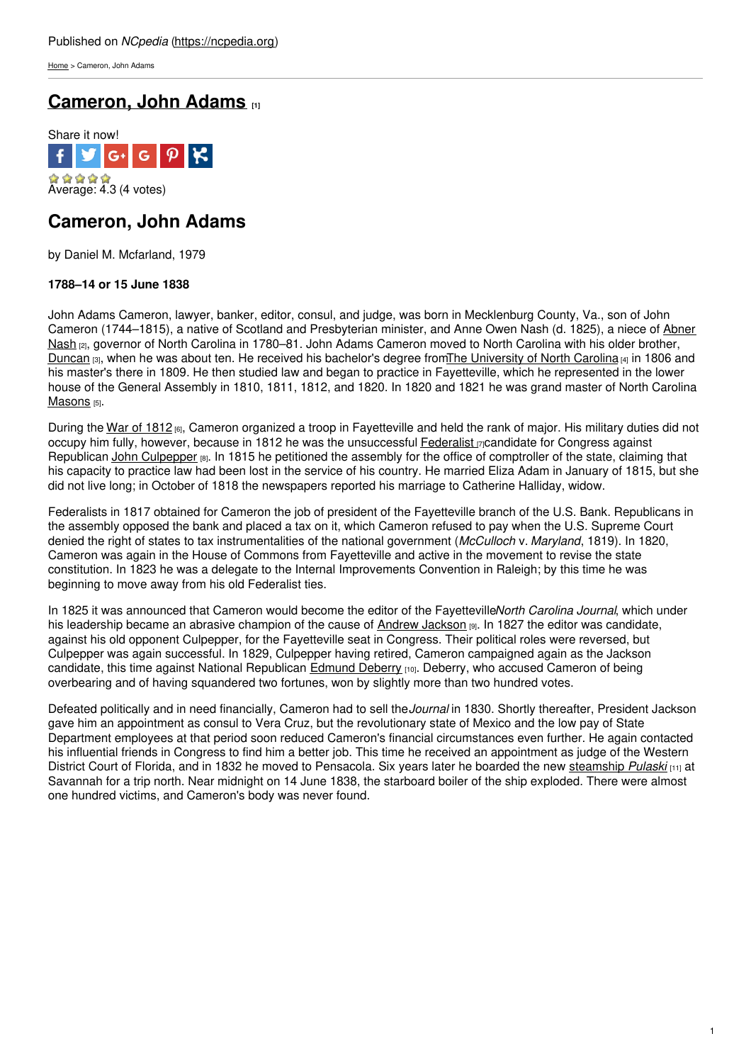[Home](https://ncpedia.org/) > Cameron, John Adams

# **[Cameron,](https://ncpedia.org/biography/cameron-john-adams) John Adams [1]**



## **Cameron, John Adams**

by Daniel M. Mcfarland, 1979

### **1788–14 or 15 June 1838**

John Adams Cameron, lawyer, banker, editor, consul, and judge, was born in Mecklenburg County, Va., son of John Cameron [\(1744–1815\),](https://ncpedia.org/biography/nash-abner) a native of Scotland and Presbyterian minister, and Anne Owen Nash (d. 1825), a niece of Abner Nash [2], governor of North Carolina in [1780–81.](http://www.social9.com) John Adams Cameron moved to North Carolina with his older brother, [Duncan](https://ncpedia.org/biography/cameron-duncan) [3], when he was about ten. He received his bachelor's degree fromThe [University](https://ncpedia.org/university-north-carolina-chapel-hi) of North Carolina [4] in 1806 and his master's there in 1809. He then studied law and began to practice in Fayetteville, which he represented in the lower house of the General Assembly in 1810, 1811, 1812, and 1820. In 1820 and 1821 he was grand master of North Carolina [Masons](https://ncpedia.org/freemasons) [5].

During the War of [1812](https://ncpedia.org/war-1812) [6], Cameron organized a troop in Fayetteville and held the rank of major. His military duties did not occupy him fully, however, because in 1812 he was the unsuccessful [Federalist](https://ncpedia.org/federalist-party)  $\pi$ candidate for Congress against Republican John [Culpepper](https://ncpedia.org/biography/culpepper-culpeper-john) [8]. In 1815 he petitioned the assembly for the office of comptroller of the state, claiming that his capacity to practice law had been lost in the service of his country. He married Eliza Adam in January of 1815, but she did not live long; in October of 1818 the newspapers reported his marriage to Catherine Halliday, widow.

Federalists in 1817 obtained for Cameron the job of president of the Fayetteville branch of the U.S. Bank. Republicans in the assembly opposed the bank and placed a tax on it, which Cameron refused to pay when the U.S. Supreme Court denied the right of states to tax instrumentalities of the national government (*McCulloch* v. *Maryland*, 1819). In 1820, Cameron was again in the House of Commons from Fayetteville and active in the movement to revise the state constitution. In 1823 he was a delegate to the Internal Improvements Convention in Raleigh; by this time he was beginning to move away from his old Federalist ties.

In 1825 it was announced that Cameron would become the editor of the Fayetteville*North Carolina Journal*, which under his leadership became an abrasive champion of the cause of Andrew [Jackson](https://ncpedia.org/jackson-andrew-unc-press-dncb) [9]. In 1827 the editor was candidate, against his old opponent Culpepper, for the Fayetteville seat in Congress. Their political roles were reversed, but Culpepper was again successful. In 1829, Culpepper having retired, Cameron campaigned again as the Jackson candidate, this time against National Republican [Edmund](https://ncpedia.org/biography/deberry-edmund) Deberry [10]. Deberry, who accused Cameron of being overbearing and of having squandered two fortunes, won by slightly more than two hundred votes.

Defeated politically and in need financially, Cameron had to sell the*Journal* in 1830. Shortly thereafter, President Jackson gave him an appointment as consul to Vera Cruz, but the revolutionary state of Mexico and the low pay of State Department employees at that period soon reduced Cameron's financial circumstances even further. He again contacted his influential friends in Congress to find him a better job. This time he received an appointment as judge of the Western District Court of Florida, and in 1832 he moved to Pensacola. Six years later he boarded the new [steamship](https://archive.org/stream/steamboatdisaste00howl#page/46/mode/2up/) *Pulaski* [11] at Savannah for a trip north. Near midnight on 14 June 1838, the starboard boiler of the ship exploded. There were almost one hundred victims, and Cameron's body was never found.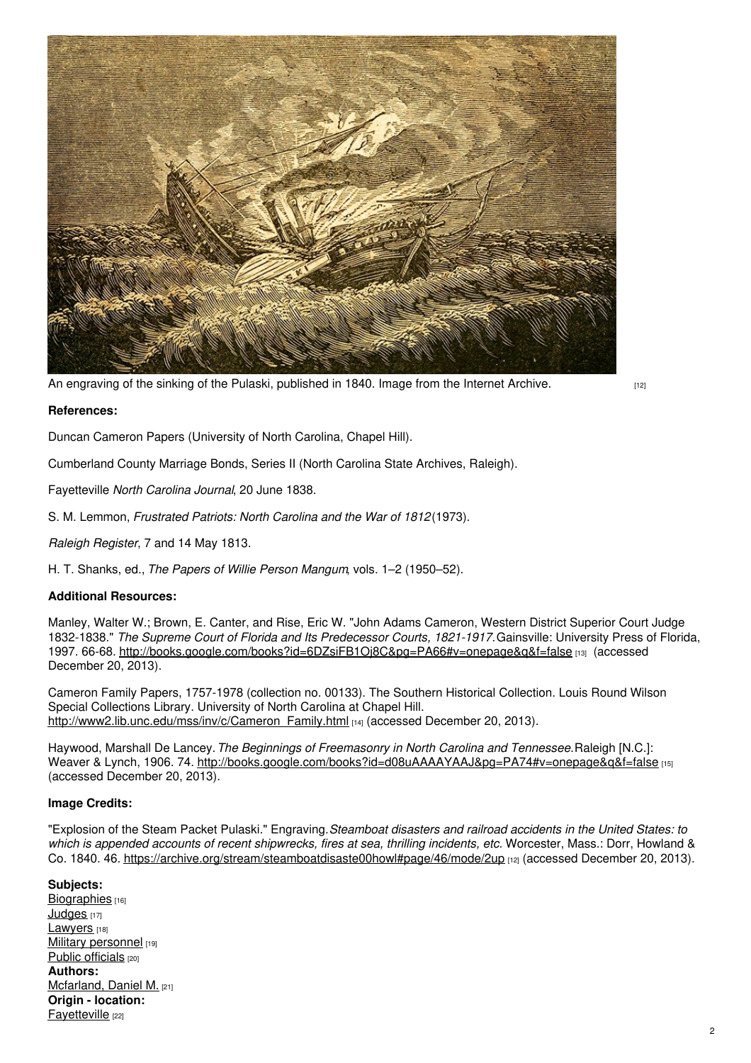

An [engraving](https://archive.org/stream/steamboatdisaste00howl#page/46/mode/2up) of the sinking of the Pulaski, published in 1840. Image from the Internet Archive.

**References:**

Duncan Cameron Papers (University of North Carolina, Chapel Hill).

Cumberland County Marriage Bonds, Series II (North Carolina State Archives, Raleigh).

Fayetteville *North Carolina Journal*, 20 June 1838.

S. M. Lemmon, *Frustrated Patriots: North Carolina and the War of 1812*(1973).

*Raleigh Register*, 7 and 14 May 1813.

H. T. Shanks, ed., *The Papers of Willie Person Mangum*, vols. 1–2 (1950–52).

### **Additional Resources:**

Manley, Walter W.; Brown, E. Canter, and Rise, Eric W. "John Adams Cameron, Western District Superior Court Judge 1832-1838." *The Supreme Court of Florida and Its Predecessor Courts, 1821-1917.*Gainsville: University Press of Florida, 1997. 66-68. <http://books.google.com/books?id=6DZsiFB1Oj8C&pg=PA66#v=onepage&q&f=false> [13] (accessed December 20, 2013).

Cameron Family Papers, 1757-1978 (collection no. 00133). The Southern Historical Collection. Louis Round Wilson Special Collections Library. University of North Carolina at Chapel Hill. [http://www2.lib.unc.edu/mss/inv/c/Cameron\\_Family.html](http://www2.lib.unc.edu/mss/inv/c/Cameron_Family.html) [14] (accessed December 20, 2013).

Haywood, Marshall De Lancey.*The Beginnings of Freemasonry in North Carolina and Tennessee.*Raleigh [N.C.]: Weaver & Lynch, 1906. 74. <http://books.google.com/books?id=d08uAAAAYAAJ&pg=PA74#v=onepage&q&f=false> [15] (accessed December 20, 2013).

#### **Image Credits:**

"Explosion of the Steam Packet Pulaski." Engraving.*Steamboat disasters and railroad accidents in the United States: to which is appended accounts of recent shipwrecks, fires at sea, thrilling incidents, etc.* Worcester, Mass.: Dorr, Howland & Co. 1840. 46. <https://archive.org/stream/steamboatdisaste00howl#page/46/mode/2up> [12] (accessed December 20, 2013).

#### **Subjects:**

[Biographies](https://ncpedia.org/category/subjects/biography-term) [16] [Judges](https://ncpedia.org/category/subjects/judges) [17] [Lawyers](https://ncpedia.org/category/subjects/lawyers) [18] Military [personnel](https://ncpedia.org/category/subjects/soldiers) [19] Public [officials](https://ncpedia.org/category/subjects/public-officials) [20] **Authors:** [Mcfarland,](https://ncpedia.org/category/authors/mcfarland-daniel-m) Daniel M. [21] **Origin - location: [Fayetteville](https://ncpedia.org/category/origin-location/coastal-48)** [22]